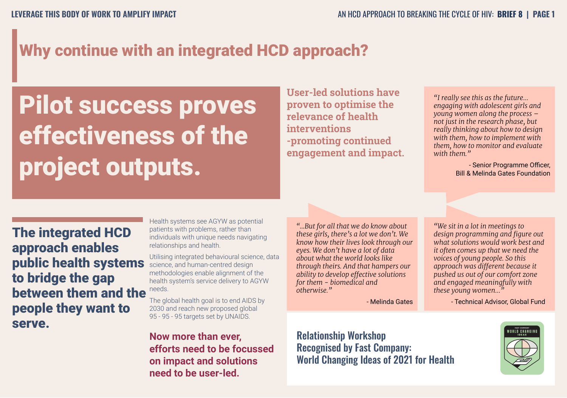# Why continue with an integrated HCD approach?

Pilot success proves effectiveness of the project outputs.

**User-led solutions have proven to optimise the relevance of health interventions -promoting continued engagement and impact.**

*"I really see this as the future… engaging with adolescent girls and young women along the process – not just in the research phase, but really thinking about how to design with them, how to implement with them, how to monitor and evaluate with them."*

> - Senior Programme Officer, Bill & Melinda Gates Foundation

**The integrated HCD** approach enables public health systems to bridge the gap between them and the people they want to serve.

Health systems see AGYW as potential patients with problems, rather than individuals with unique needs navigating relationships and health.

Utilising integrated behavioural science, data science, and human-centred design methodologies enable alignment of the health system's service delivery to AGYW needs.

The global health goal is to end AIDS by 2030 and reach new proposed global 95 - 95 - 95 targets set by UNAIDS.

**Now more than ever, efforts need to be focussed on impact and solutions need to be user-led.**

*"...But for all that we do know about these girls, there's a lot we don't. We know how their lives look through our eyes. We don't have a lot of data about what the world looks like through theirs. And that hampers our ability to develop effective solutions for them - biomedical and otherwise."*

- Melinda Gates

*"We sit in a lot in meetings to design programming and figure out what solutions would work best and it often comes up that we need the voices of young people. So this approach was different because it pushed us out of our comfort zone and engaged meaningfully with these young women…"* 

- Technical Advisor, Global Fund



Relationship Workshop Recognised by Fast Company: World Changing Ideas of 2021 for Health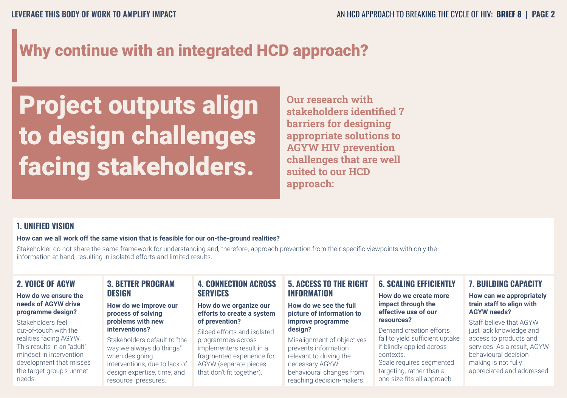# Why continue with an integrated HCD approach?

# Project outputs align to design challenges facing stakeholders.

**Our research with stakeholders identified 7 barriers for designing appropriate solutions to AGYW HIV prevention challenges that are well suited to our HCD approach:**

### **1. UNIFIED VISION**

#### **How can we all work off the same vision that is feasible for our on-the-ground realities?**

Stakeholder do not share the same framework for understanding and, therefore, approach prevention from their specific viewpoints with only the information at hand, resulting in isolated efforts and limited results.

### **2. VOICE OF AGYW**

#### **How do we ensure the needs of AGYW drive programme design?**

Stakeholders feel out-of-touch with the realities facing AGYW. This results in an "adult" mindset in intervention development that misses the target group's unmet needs.

### **3. BETTER PROGRAM DESIGN**

#### **How do we improve our process of solving problems with new interventions?**

Stakeholders default to "the way we always do things" when designing interventions, due to lack of design expertise, time, and resource pressures.

### **4. CONNECTION ACROSS SERVICES**

#### **How do we organize our efforts to create a system of prevention?**

Siloed efforts and isolated programmes across implementers result in a fragmented experience for AGYW (separate pieces that don't fit together).

### **5. ACCESS TO THE RIGHT INFORMATION**

#### **How do we see the full picture of information to improve programme design?**

Misalignment of objectives prevents information relevant to driving the necessary AGYW behavioural changes from reaching decision-makers.

### **6. SCALING EFFICIENTLY**

#### **How do we create more impact through the effective use of our resources?**

Demand creation efforts fail to yield sufficient uptake if blindly applied across contexts. Scale requires segmented targeting, rather than a one-size-fits all approach.

### **7. BUILDING CAPACITY**

#### **How can we appropriately train staff to align with AGYW needs?**

Staff believe that AGYW just lack knowledge and access to products and services. As a result, AGYW behavioural decision making is not fully appreciated and addressed.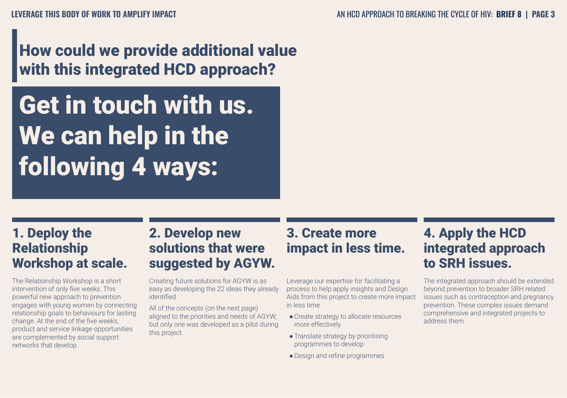# How could we provide additional value with this integrated HCD approach?

# Get in touch with us. We can help in the following 4 ways:

# 1. Deploy the Relationship Workshop at scale.

The Relationship Workshop is a short intervention of only five weeks. This powerful new approach to prevention engages with young women by connecting relationship goals to behaviours for lasting change. At the end of the five weeks, product and service linkage opportunities are complemented by social support networks that develop.

# 2. Develop new solutions that were suggested by AGYW.

Creating future solutions for AGYW is as easy as developing the 22 ideas they already identified.

All of the concepts (on the next page) aligned to the priorities and needs of AGYW, but only one was developed as a pilot during this project.

# 3. Create more impact in less time.

Leverage our expertise for facilitating a process to help apply insights and Design Aids from this project to create more impact in less time.

- ●Create strategy to allocate resources more effectively
- Translate strategy by prioritising programmes to develop
- ●Design and refine programmes

# 4. Apply the HCD integrated approach to SRH issues.

The integrated approach should be extended beyond prevention to broader SRH related issues such as contraception and pregnancy prevention. These complex issues demand comprehensive and integrated projects to address them.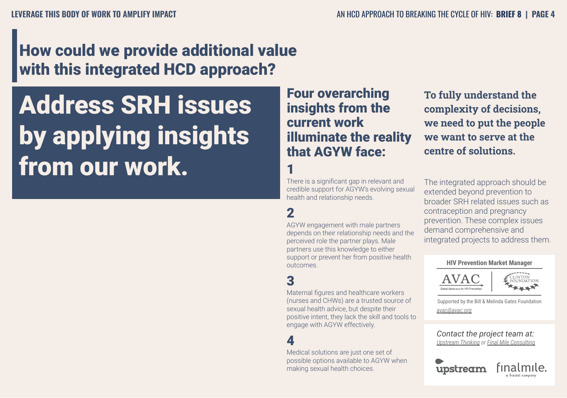# How could we provide additional value with this integrated HCD approach?

Address SRH issues by applying insights from our work.

Four overarching insights from the current work illuminate the reality that AGYW face:

### 1

There is a significant gap in relevant and credible support for AGYW's evolving sexual health and relationship needs.

## 2

AGYW engagement with male partners depends on their relationship needs and the perceived role the partner plays. Male partners use this knowledge to either support or prevent her from positive health outcomes.

### 3

Maternal figures and healthcare workers (nurses and CHWs) are a trusted source of sexual health advice, but despite their positive intent, they lack the skill and tools to engage with AGYW effectively.

### 4

Medical solutions are just one set of possible options available to AGYW when making sexual health choices.

**To fully understand the complexity of decisions, we need to put the people we want to serve at the centre of solutions.**

The integrated approach should be extended beyond prevention to broader SRH related issues such as contraception and pregnancy prevention. These complex issues demand comprehensive and integrated projects to address them.

#### **HIV Prevention Market Manager**





Supported by the Bill & Melinda Gates Foundation *avac@avac.org*

*Contact the project team at: Upstream Thinking or Final Mile Consulting*